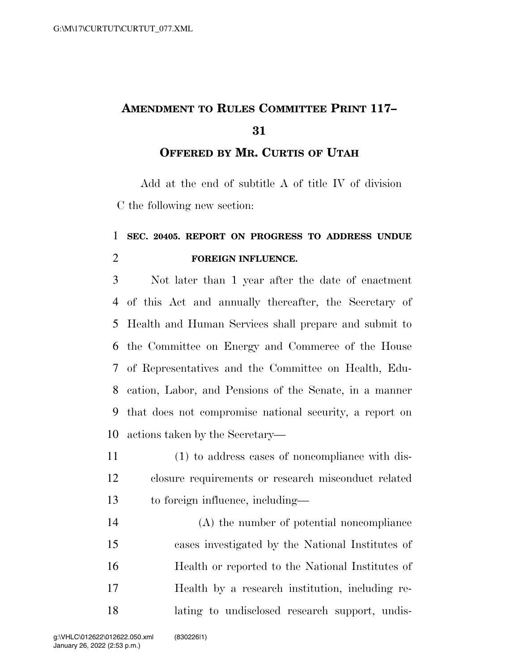## **AMENDMENT TO RULES COMMITTEE PRINT 117–**

## **OFFERED BY MR. CURTIS OF UTAH**

Add at the end of subtitle A of title IV of division C the following new section:

## **SEC. 20405. REPORT ON PROGRESS TO ADDRESS UNDUE FOREIGN INFLUENCE.**

 Not later than 1 year after the date of enactment of this Act and annually thereafter, the Secretary of Health and Human Services shall prepare and submit to the Committee on Energy and Commerce of the House of Representatives and the Committee on Health, Edu- cation, Labor, and Pensions of the Senate, in a manner that does not compromise national security, a report on actions taken by the Secretary—

 (1) to address cases of noncompliance with dis- closure requirements or research misconduct related to foreign influence, including—

 (A) the number of potential noncompliance cases investigated by the National Institutes of Health or reported to the National Institutes of Health by a research institution, including re-lating to undisclosed research support, undis